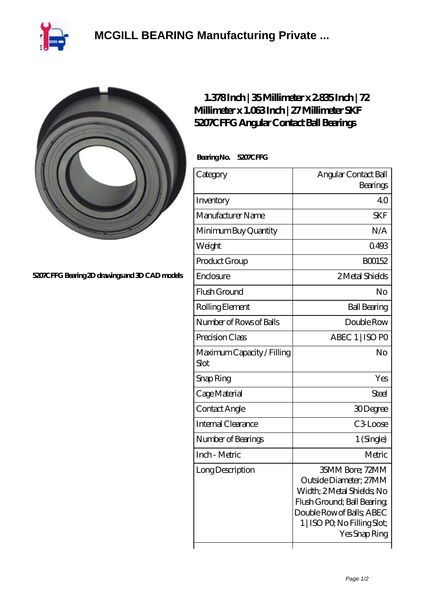

## **[MCGILL BEARING Manufacturing Private ...](https://plaschner.de)**



**[5207CFFG Bearing 2D drawings and 3D CAD models](https://plaschner.de/pic-209247.html)**

## **[1.378 Inch | 35 Millimeter x 2.835 Inch | 72](https://plaschner.de/aI-209247-skf-5207cffg-angular-contact-ball-bearings.html) [Millimeter x 1.063 Inch | 27 Millimeter SKF](https://plaschner.de/aI-209247-skf-5207cffg-angular-contact-ball-bearings.html) [5207CFFG Angular Contact Ball Bearings](https://plaschner.de/aI-209247-skf-5207cffg-angular-contact-ball-bearings.html)**

 **Bearing No. 5207CFFG**

| Category                           | Angular Contact Ball                                                                                                                                                                |
|------------------------------------|-------------------------------------------------------------------------------------------------------------------------------------------------------------------------------------|
|                                    | Bearings                                                                                                                                                                            |
| Inventory                          | 40                                                                                                                                                                                  |
| Manufacturer Name                  | <b>SKF</b>                                                                                                                                                                          |
| Minimum Buy Quantity               | N/A                                                                                                                                                                                 |
| Weight                             | 0493                                                                                                                                                                                |
| Product Group                      | BO0152                                                                                                                                                                              |
| Enclosure                          | 2 Metal Shields                                                                                                                                                                     |
| Flush Ground                       | No                                                                                                                                                                                  |
| Rolling Element                    | <b>Ball Bearing</b>                                                                                                                                                                 |
| Number of Rows of Balls            | Double Row                                                                                                                                                                          |
| Precision Class                    | ABEC 1   ISO PO                                                                                                                                                                     |
| Maximum Capacity / Filling<br>Slot | No                                                                                                                                                                                  |
| Snap Ring                          | Yes                                                                                                                                                                                 |
| Cage Material                      | Steel                                                                                                                                                                               |
| Contact Angle                      | 30Degree                                                                                                                                                                            |
| <b>Internal Clearance</b>          | C3Loose                                                                                                                                                                             |
| Number of Bearings                 | 1 (Single)                                                                                                                                                                          |
| Inch - Metric                      | Metric                                                                                                                                                                              |
| Long Description                   | 35MM Bore; 72MM<br>Outside Diameter; 27MM<br>Width; 2Metal Shields, No<br>Flush Ground; Ball Bearing;<br>Double Row of Balls; ABEC<br>1   ISO PO, No Filling Slot;<br>Yes Snap Ring |